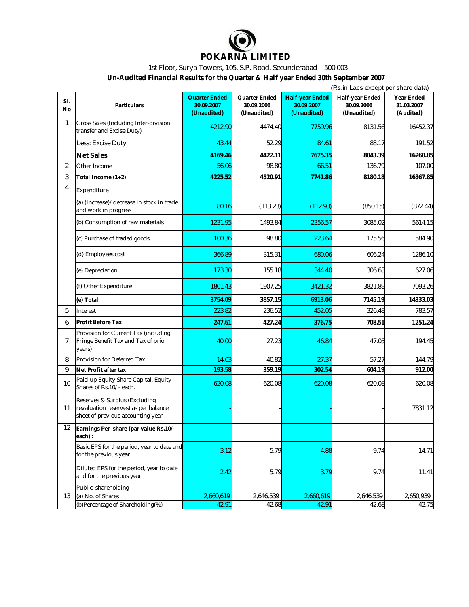

## 1st Floor, Surya Towers, 105, S.P. Road, Secunderabad – 500 003

**Un-Audited Financial Results for the Quarter & Half year Ended 30th September 2007**

|                | (Rs.in Lacs except per share data)                                                                         |                                            |                                            |                                                     |                                              |                                       |  |  |
|----------------|------------------------------------------------------------------------------------------------------------|--------------------------------------------|--------------------------------------------|-----------------------------------------------------|----------------------------------------------|---------------------------------------|--|--|
| SI.<br>No      | Particulars                                                                                                | Quarter Ended<br>30.09.2007<br>(Unaudited) | Quarter Ended<br>30.09.2006<br>(Unaudited) | <b>Half-year Ended</b><br>30.09.2007<br>(Unaudited) | Half-year Ended<br>30.09.2006<br>(Unaudited) | Year Ended<br>31.03.2007<br>(Audited) |  |  |
| $\mathbf{1}$   | Gross Sales (Including Inter-division<br>transfer and Excise Duty)                                         | 4212.90                                    | 4474.40                                    | 7759.96                                             | 8131.56                                      | 16452.37                              |  |  |
|                | Less: Excise Duty                                                                                          | 43.44                                      | 52.29                                      | 84.61                                               | 88.17                                        | 191.52                                |  |  |
|                | <b>Net Sales</b>                                                                                           | 4169.46                                    | 4422.11                                    | 7675.35                                             | 8043.39                                      | 16260.85                              |  |  |
| 2              | Other Income                                                                                               | 56.06                                      | 98.80                                      | 66.51                                               | 136.79                                       | 107.00                                |  |  |
| 3              | Total Income $(1+2)$                                                                                       | 4225.52                                    | 4520.91                                    | 7741.86                                             | 8180.18                                      | 16367.85                              |  |  |
| 4              | Expenditure                                                                                                |                                            |                                            |                                                     |                                              |                                       |  |  |
|                | (a) (Increase)/decrease in stock in trade<br>and work in progress                                          | 80.16                                      | (113.23)                                   | (112.93)                                            | (850.15)                                     | (872.44)                              |  |  |
|                | (b) Consumption of raw materials                                                                           | 1231.95                                    | 1493.84                                    | 2356.57                                             | 3085.02                                      | 5614.15                               |  |  |
|                | (c) Purchase of traded goods                                                                               | 100.36                                     | 98.80                                      | 223.64                                              | 175.56                                       | 584.90                                |  |  |
|                | (d) Employees cost                                                                                         | 366.89                                     | 315.31                                     | 680.06                                              | 606.24                                       | 1286.10                               |  |  |
|                | (e) Depreciation                                                                                           | 173.30                                     | 155.18                                     | 344.40                                              | 306.63                                       | 627.06                                |  |  |
|                | (f) Other Expenditure                                                                                      | 1801.43                                    | 1907.25                                    | 3421.32                                             | 3821.89                                      | 7093.26                               |  |  |
|                | (e) Total                                                                                                  | 3754.09                                    | 3857.15                                    | 6913.06                                             | 7145.19                                      | 14333.03                              |  |  |
| 5              | Interest                                                                                                   | 223.82                                     | 236.52                                     | 452.05                                              | 326.48                                       | 783.57                                |  |  |
| 6              | Profit Before Tax                                                                                          | 247.61                                     | 427.24                                     | 376.75                                              | 708.51                                       | 1251.24                               |  |  |
| $\overline{7}$ | Provision for Current Tax (including<br>Fringe Benefit Tax and Tax of prior<br>years)                      | 40.00                                      | 27.23                                      | 46.84                                               | 47.05                                        | 194.45                                |  |  |
| 8              | Provision for Deferred Tax                                                                                 | 14.03                                      | 40.82                                      | 27.37                                               | 57.27                                        | 144.79                                |  |  |
| 9              | Net Profit after tax                                                                                       | 193.58                                     | 359.19                                     | 302.54                                              | 604.19                                       | 912.00                                |  |  |
| 10             | Paid-up Equity Share Capital, Equity<br>Shares of Rs.10/- each.                                            | 620.08                                     | 620.08                                     | 620.08                                              | 620.08                                       | 620.08                                |  |  |
| 11             | Reserves & Surplus (Excluding<br>revaluation reserves) as per balance<br>sheet of previous accounting year |                                            |                                            |                                                     |                                              | 7831.12                               |  |  |
| 12             | Earnings Per share (par value Rs.10/-<br>each):                                                            |                                            |                                            |                                                     |                                              |                                       |  |  |
|                | Basic EPS for the period, year to date and<br>for the previous year                                        | 3.12                                       | 5.79                                       | 4.88                                                | 9.74                                         | 14.71                                 |  |  |
|                | Diluted EPS for the period, year to date<br>and for the previous year                                      | 2.42                                       | 5.79                                       | 3.79                                                | 9.74                                         | 11.41                                 |  |  |
|                | Public shareholding                                                                                        |                                            |                                            |                                                     |                                              |                                       |  |  |
| 13             | (a) No. of Shares<br>(b)Percentage of Shareholding(%)                                                      | 2,660,619                                  | 2,646,539                                  | 2,660,619                                           | 2,646,539                                    | 2,650,939                             |  |  |
|                |                                                                                                            | 42.91                                      | 42.68                                      | 42.91                                               | 42.68                                        | 42.75                                 |  |  |